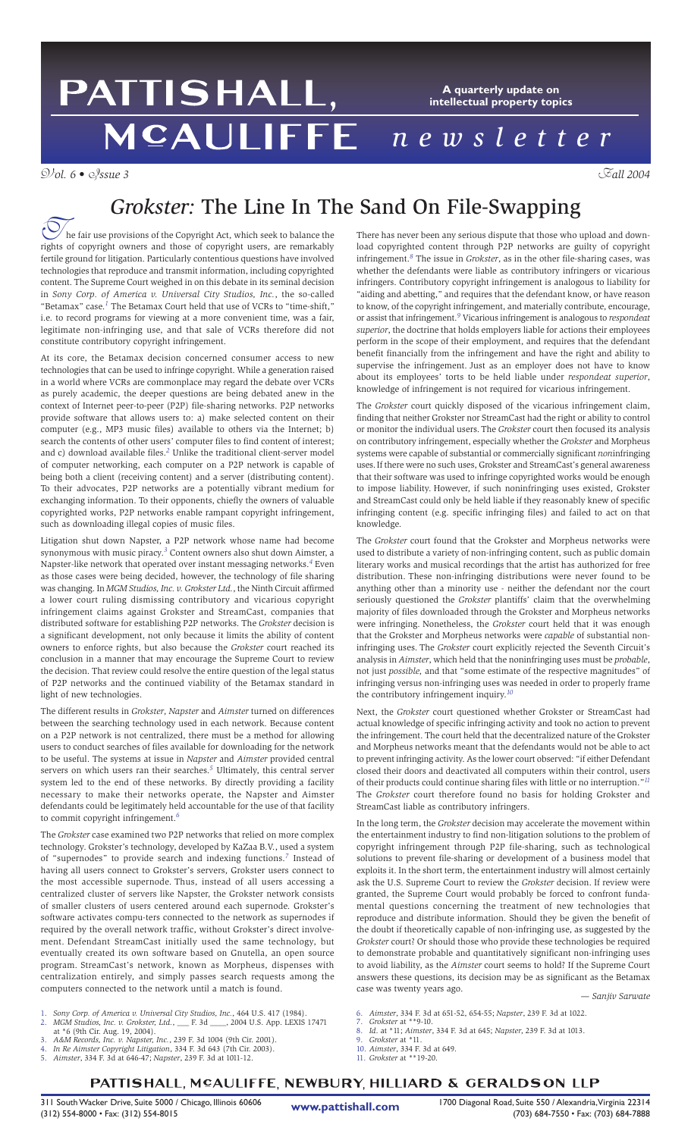### PATTISHALL, **A quarterly update on intellectual property topics** MCAULIFFE *newsletter*

V*ol. 6 •* I*ssue 3* F*all 2004*



## *Grokster:* The Line In The Sand On File-Swapping

he fair use provisions of the Copyright Act, which seek to balance the The fair use provisions of the Copyright Act, which seek to balance the rights of copyright owners and those of copyright users, are remarkably fertile ground for litigation. Particularly contentious questions have involved technologies that reproduce and transmit information, including copyrighted content. The Supreme Court weighed in on this debate in its seminal decision in *Sony Corp. of America v. Universal City Studios, Inc.*, the so-called "Betamax" case.*<sup>1</sup>* The Betamax Court held that use of VCRs to "time-shift," i.e. to record programs for viewing at a more convenient time, was a fair, legitimate non-infringing use, and that sale of VCRs therefore did not constitute contributory copyright infringement.

At its core, the Betamax decision concerned consumer access to new technologies that can be used to infringe copyright. While a generation raised in a world where VCRs are commonplace may regard the debate over VCRs as purely academic, the deeper questions are being debated anew in the context of Internet peer-to-peer (P2P) file-sharing networks. P2P networks provide software that allows users to: a) make selected content on their computer (e.g., MP3 music files) available to others via the Internet; b) search the contents of other users' computer files to find content of interest; and c) download available files.*<sup>2</sup>* Unlike the traditional client-server model of computer networking, each computer on a P2P network is capable of being both a client (receiving content) and a server (distributing content). To their advocates, P2P networks are a potentially vibrant medium for exchanging information. To their opponents, chiefly the owners of valuable copyrighted works, P2P networks enable rampant copyright infringement, such as downloading illegal copies of music files.

Litigation shut down Napster, a P2P network whose name had become synonymous with music piracy.*<sup>3</sup>* Content owners also shut down Aimster, a Napster-like network that operated over instant messaging networks.*<sup>4</sup>* Even as those cases were being decided, however, the technology of file sharing was changing. In *MGM Studios, Inc. v. Grokster Ltd.*, the Ninth Circuit affirmed a lower court ruling dismissing contributory and vicarious copyright infringement claims against Grokster and StreamCast, companies that distributed software for establishing P2P networks. The *Grokster* decision is a significant development, not only because it limits the ability of content owners to enforce rights, but also because the *Grokster* court reached its conclusion in a manner that may encourage the Supreme Court to review the decision. That review could resolve the entire question of the legal status of P2P networks and the continued viability of the Betamax standard in light of new technologies.

The different results in *Grokster*, *Napster* and *Aimster* turned on differences between the searching technology used in each network. Because content on a P2P network is not centralized, there must be a method for allowing users to conduct searches of files available for downloading for the network to be useful. The systems at issue in *Napster* and *Aimster* provided central servers on which users ran their searches.*<sup>5</sup>* Ultimately, this central server system led to the end of these networks. By directly providing a facility necessary to make their networks operate, the Napster and Aimster defendants could be legitimately held accountable for the use of that facility to commit copyright infringement.*<sup>6</sup>*

The *Grokster* case examined two P2P networks that relied on more complex technology. Grokster's technology, developed by KaZaa B.V., used a system of "supernodes" to provide search and indexing functions.*<sup>7</sup>* Instead of having all users connect to Grokster's servers, Grokster users connect to the most accessible supernode. Thus, instead of all users accessing a centralized cluster of servers like Napster, the Grokster network consists of smaller clusters of users centered around each supernode. Grokster's software activates compu-ters connected to the network as supernodes if required by the overall network traffic, without Grokster's direct involvement. Defendant StreamCast initially used the same technology, but eventually created its own software based on Gnutella, an open source program. StreamCast's network, known as Morpheus, dispenses with centralization entirely, and simply passes search requests among the computers connected to the network until a match is found.

- 1. *Sony Corp. of America v. Universal City Studios, Inc.*, 464 U.S. 417 (1984).
- 2. *MGM Studios, Inc. v. Grokster, Ltd.*, \_\_\_ F. 3d \_\_\_\_, 2004 U.S. App. LEXIS 17471 at \*6 (9th Cir. Aug. 19, 2004).
- 3. *A&M Records, Inc. v. Napster, Inc.*, 239 F. 3d 1004 (9th Cir. 2001).
- 4. *In Re Aimster Copyright Litigation*, 334 F. 3d 643 (7th Cir. 2003).
- 5. *Aimster*, 334 F. 3d at 646-47; *Napster*, 239 F. 3d at 1011-12.

There has never been any serious dispute that those who upload and download copyrighted content through P2P networks are guilty of copyright infringement.*<sup>8</sup>* The issue in *Grokster*, as in the other file-sharing cases, was whether the defendants were liable as contributory infringers or vicarious infringers. Contributory copyright infringement is analogous to liability for "aiding and abetting," and requires that the defendant know, or have reason to know, of the copyright infringement, and materially contribute, encourage, or assist that infringement.*<sup>9</sup>* Vicarious infringement is analogous to *respondeat superior*, the doctrine that holds employers liable for actions their employees perform in the scope of their employment, and requires that the defendant benefit financially from the infringement and have the right and ability to supervise the infringement. Just as an employer does not have to know about its employees' torts to be held liable under *respondeat superior*, knowledge of infringement is not required for vicarious infringement.

The *Grokster* court quickly disposed of the vicarious infringement claim, finding that neither Grokster nor StreamCast had the right or ability to control or monitor the individual users. The *Grokster* court then focused its analysis on contributory infringement, especially whether the *Grokster* and Morpheus systems were capable of substantial or commercially significant *non*infringing uses.If there were no such uses, Grokster and StreamCast's general awareness that their software was used to infringe copyrighted works would be enough to impose liability. However, if such noninfringing uses existed, Grokster and StreamCast could only be held liable if they reasonably knew of specific infringing content (e.g. specific infringing files) and failed to act on that knowledge.

The *Grokster* court found that the Grokster and Morpheus networks were used to distribute a variety of non-infringing content, such as public domain literary works and musical recordings that the artist has authorized for free distribution. These non-infringing distributions were never found to be anything other than a minority use - neither the defendant nor the court seriously questioned the *Grokster* plantiffs' claim that the overwhelming majority of files downloaded through the Grokster and Morpheus networks were infringing. Nonetheless, the *Grokster* court held that it was enough that the Grokster and Morpheus networks were *capable* of substantial noninfringing uses. The *Grokster* court explicitly rejected the Seventh Circuit's analysis in *Aimster*, which held that the noninfringing uses must be *probable*, not just *possible,* and that "some estimate of the respective magnitudes" of infringing versus non-infringing uses was needed in order to properly frame the contributory infringement inquiry.*<sup>10</sup>*

Next, the *Grokster* court questioned whether Grokster or StreamCast had actual knowledge of specific infringing activity and took no action to prevent the infringement. The court held that the decentralized nature of the Grokster and Morpheus networks meant that the defendants would not be able to act to prevent infringing activity. As the lower court observed: "if either Defendant closed their doors and deactivated all computers within their control, users of their products could continue sharing files with little or no interruption."<sup>11</sup> The *Grokster* court therefore found no basis for holding Grokster and StreamCast liable as contributory infringers.

In the long term, the *Grokster* decision may accelerate the movement within the entertainment industry to find non-litigation solutions to the problem of copyright infringement through P2P file-sharing, such as technological solutions to prevent file-sharing or development of a business model that exploits it. In the short term, the entertainment industry will almost certainly ask the U.S. Supreme Court to review the *Grokster* decision. If review were granted, the Supreme Court would probably be forced to confront fundamental questions concerning the treatment of new technologies that reproduce and distribute information. Should they be given the benefit of the doubt if theoretically capable of non-infringing use, as suggested by the *Grokster* court? Or should those who provide these technologies be required to demonstrate probable and quantitatively significant non-infringing uses to avoid liability, as the *Aimster* court seems to hold? If the Supreme Court answers these questions, its decision may be as significant as the Betamax case was twenty years ago. — *Sanjiv Sarwate*

- 6. *Aimster*, 334 F. 3d at 651-52, 654-55; *Napster*, 239 F. 3d at 1022. 7. *Grokster* at \*\*9-10.
- 8. *Id*. at \*11; *Aimster*, 334 F. 3d at 645; *Napster*, 239 F. 3d at 1013.
- 9. *Grokster* at \*11.
- 10. *Aimster*, 334 F. 3d at 649.
- 11. *Grokster* at \*\*19-20.

### PATTISHALL, MCAULIFFE, NEWBURY, HILLIARD & GERALDSON LLP

311 South Wacker Drive, Suite 5000 / Chicago, Illinois 60606 1700 **1700** Diagonal Road, Suite 550 / Alexandria, Virginia 22314<br>(312) - 684-7550 (703) - 684-7550 (703) - 684-7650 (703) - 684-7888 (703) - 684-7888 (703) - 68

**www.pattishall.com**

(312) 554-8000 • Fax: (312) 554-8015 (703) 684-7550 • Fax: (703) 684-7888